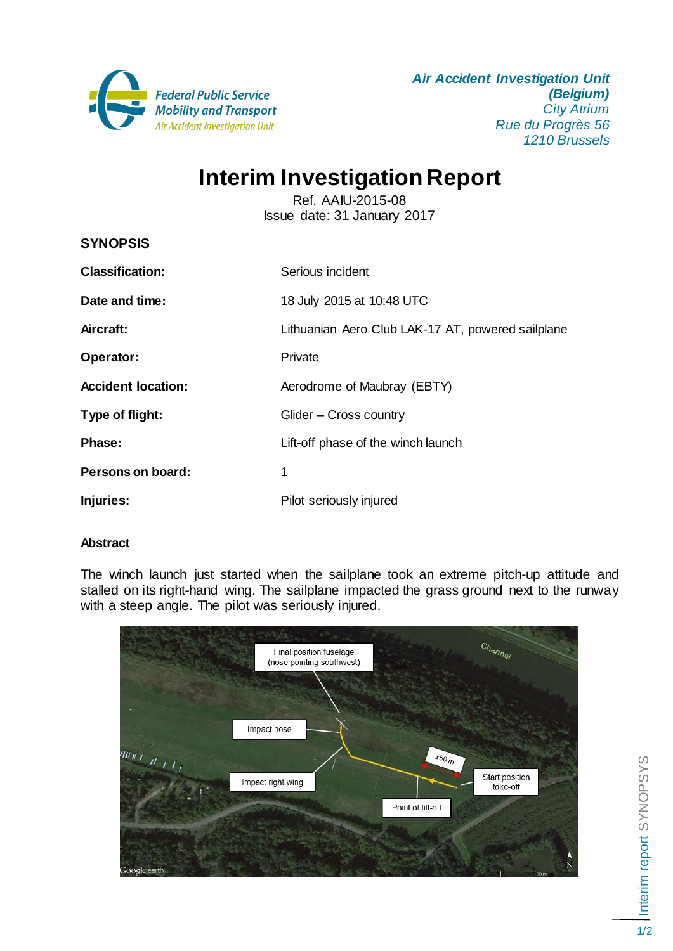

*Air Accident Investigation Unit (Belgium) City Atrium Rue du Progrès 56 1210 Brussels*

# **Interim Investigation Report**

Ref. AAIU-2015-08 Issue date: 31 January 2017

| <b>SYNOPSIS</b>           |                                                   |
|---------------------------|---------------------------------------------------|
| <b>Classification:</b>    | Serious incident                                  |
| Date and time:            | 18 July 2015 at 10:48 UTC                         |
| Aircraft:                 | Lithuanian Aero Club LAK-17 AT, powered sailplane |
| Operator:                 | Private                                           |
| <b>Accident location:</b> | Aerodrome of Maubray (EBTY)                       |
| Type of flight:           | Glider - Cross country                            |
| Phase:                    | Lift-off phase of the winch launch                |
| Persons on board:         | 1                                                 |
| Injuries:                 | Pilot seriously injured                           |

# **Abstract**

The winch launch just started when the sailplane took an extreme pitch-up attitude and stalled on its right-hand wing. The sailplane impacted the grass ground next to the runway with a steep angle. The pilot was seriously injured.